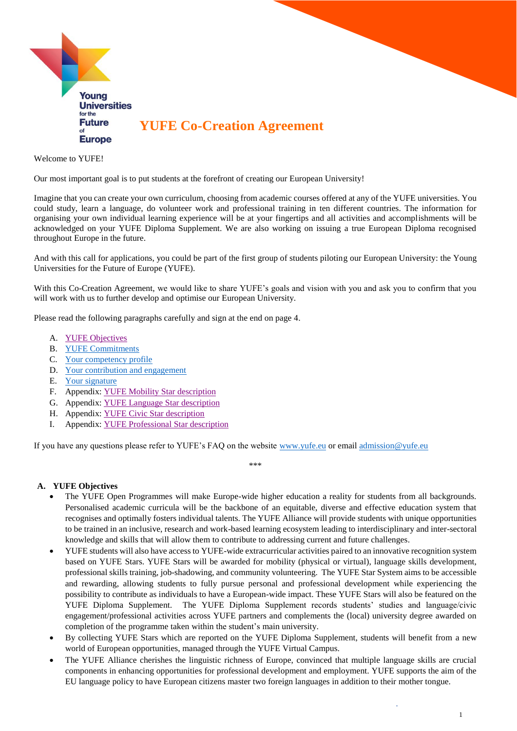

Welcome to YUFE!

Our most important goal is to put students at the forefront of creating our European University!

Imagine that you can create your own curriculum, choosing from academic courses offered at any of the YUFE universities. You could study, learn a language, do volunteer work and professional training in ten different countries. The information for organising your own individual learning experience will be at your fingertips and all activities and accomplishments will be acknowledged on your YUFE Diploma Supplement. We are also working on issuing a true European Diploma recognised throughout Europe in the future.

And with this call for applications, you could be part of the first group of students piloting our European University: the Young Universities for the Future of Europe (YUFE).

With this Co-Creation Agreement, we would like to share YUFE's goals and vision with you and ask you to confirm that you will work with us to further develop and optimise our European University.

Please read the following paragraphs carefully and sign at the end on page 4.

- A. [YUFE Objectives](#page-0-0)
- B. [YUFE Commitments](#page-1-0)
- C. [Your competency profile](#page-2-0)
- D. [Your contribution and engagement](#page-3-0)
- E. [Your signature](#page-3-1)
- F. Appendix: [YUFE Mobility Star description](#page-4-0)
- G. Appendix: [YUFE Language Star description](#page-6-0)
- H. Appendix: [YUFE Civic Star description](#page-9-0)
- I. Appendix: [YUFE Professional Star description](#page-11-0)

If you have any questions please refer to YUFE's FAQ on the website [www.yufe.eu](http://www.yufe.eu/) or email [admission@yufe.eu](mailto:admission@yufe.eu)

\*\*\*

#### <span id="page-0-0"></span>**A. YUFE Objectives**

- The YUFE Open Programmes will make Europe-wide higher education a reality for students from all backgrounds. Personalised academic curricula will be the backbone of an equitable, diverse and effective education system that recognises and optimally fosters individual talents. The YUFE Alliance will provide students with unique opportunities to be trained in an inclusive, research and work-based learning ecosystem leading to interdisciplinary and inter-sectoral knowledge and skills that will allow them to contribute to addressing current and future challenges.
- YUFE students will also have access to YUFE-wide extracurricular activities paired to an innovative recognition system based on YUFE Stars. YUFE Stars will be awarded for mobility (physical or virtual), language skills development, professional skills training, job-shadowing, and community volunteering. The YUFE Star System aims to be accessible and rewarding, allowing students to fully pursue personal and professional development while experiencing the possibility to contribute as individuals to have a European-wide impact. These YUFE Stars will also be featured on the YUFE Diploma Supplement. The YUFE Diploma Supplement records students' studies and language/civic engagement/professional activities across YUFE partners and complements the (local) university degree awarded on completion of the programme taken within the student's main university.
- By collecting YUFE Stars which are reported on the YUFE Diploma Supplement, students will benefit from a new world of European opportunities, managed through the YUFE Virtual Campus.
- The YUFE Alliance cherishes the linguistic richness of Europe, convinced that multiple language skills are crucial components in enhancing opportunities for professional development and employment. YUFE supports the aim of the EU language policy to have European citizens master two foreign languages in addition to their mother tongue.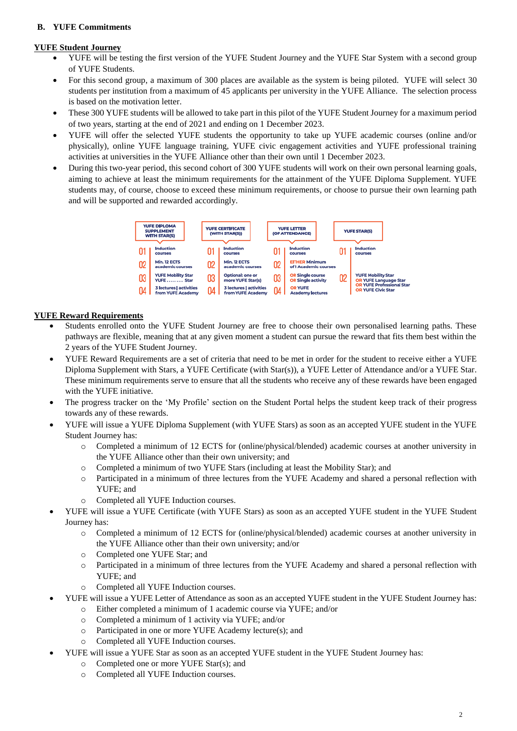# <span id="page-1-0"></span>**B. YUFE Commitments**

#### **YUFE Student Journey**

- YUFE will be testing the first version of the YUFE Student Journey and the YUFE Star System with a second group of YUFE Students.
- For this second group, a maximum of 300 places are available as the system is being piloted. YUFE will select 30 students per institution from a maximum of 45 applicants per university in the YUFE Alliance. The selection process is based on the motivation letter.
- These 300 YUFE students will be allowed to take part in this pilot of the YUFE Student Journey for a maximum period of two years, starting at the end of 2021 and ending on 1 December 2023.
- YUFE will offer the selected YUFE students the opportunity to take up YUFE academic courses (online and/or physically), online YUFE language training, YUFE civic engagement activities and YUFE professional training activities at universities in the YUFE Alliance other than their own until 1 December 2023.
- During this two-year period, this second cohort of 300 YUFE students will work on their own personal learning goals, aiming to achieve at least the minimum requirements for the attainment of the YUFE Diploma Supplement. YUFE students may, of course, choose to exceed these minimum requirements, or choose to pursue their own learning path and will be supported and rewarded accordingly.



# **YUFE Reward Requirements**

- Students enrolled onto the YUFE Student Journey are free to choose their own personalised learning paths. These pathways are flexible, meaning that at any given moment a student can pursue the reward that fits them best within the 2 years of the YUFE Student Journey.
- YUFE Reward Requirements are a set of criteria that need to be met in order for the student to receive either a YUFE Diploma Supplement with Stars, a YUFE Certificate (with Star(s)), a YUFE Letter of Attendance and/or a YUFE Star. These minimum requirements serve to ensure that all the students who receive any of these rewards have been engaged with the YUFE initiative.
- The progress tracker on the 'My Profile' section on the Student Portal helps the student keep track of their progress towards any of these rewards.
- YUFE will issue a YUFE Diploma Supplement (with YUFE Stars) as soon as an accepted YUFE student in the YUFE Student Journey has:
	- o Completed a minimum of 12 ECTS for (online/physical/blended) academic courses at another university in the YUFE Alliance other than their own university; and
	- o Completed a minimum of two YUFE Stars (including at least the Mobility Star); and
	- o Participated in a minimum of three lectures from the YUFE Academy and shared a personal reflection with YUFE; and
	- o Completed all YUFE Induction courses.
- YUFE will issue a YUFE Certificate (with YUFE Stars) as soon as an accepted YUFE student in the YUFE Student Journey has:
	- o Completed a minimum of 12 ECTS for (online/physical/blended) academic courses at another university in the YUFE Alliance other than their own university; and/or
	- o Completed one YUFE Star; and
	- o Participated in a minimum of three lectures from the YUFE Academy and shared a personal reflection with YUFE; and
	- o Completed all YUFE Induction courses.
- YUFE will issue a YUFE Letter of Attendance as soon as an accepted YUFE student in the YUFE Student Journey has:
	- o Either completed a minimum of 1 academic course via YUFE; and/or
	- o Completed a minimum of 1 activity via YUFE; and/or
	- o Participated in one or more YUFE Academy lecture(s); and
	- o Completed all YUFE Induction courses.
	- YUFE will issue a YUFE Star as soon as an accepted YUFE student in the YUFE Student Journey has:
		- o Completed one or more YUFE Star(s); and
		- o Completed all YUFE Induction courses.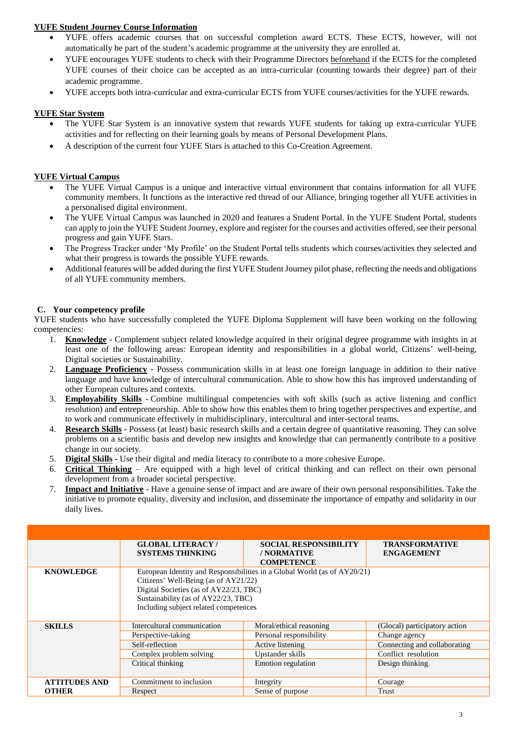# **YUFE Student Journey Course Information**

- YUFE offers academic courses that on successful completion award ECTS. These ECTS, however, will not automatically be part of the student's academic programme at the university they are enrolled at.
- YUFE encourages YUFE students to check with their Programme Directors beforehand if the ECTS for the completed YUFE courses of their choice can be accepted as an intra-curricular (counting towards their degree) part of their academic programme.
- YUFE accepts both intra-curricular and extra-curricular ECTS from YUFE courses/activities for the YUFE rewards.

# **YUFE Star System**

- The YUFE Star System is an innovative system that rewards YUFE students for taking up extra-curricular YUFE activities and for reflecting on their learning goals by means of Personal Development Plans.
- A description of the current four YUFE Stars is attached to this Co-Creation Agreement.

#### **YUFE Virtual Campus**

- The YUFE Virtual Campus is a unique and interactive virtual environment that contains information for all YUFE community members. It functions as the interactive red thread of our Alliance, bringing together all YUFE activities in a personalised digital environment.
- The YUFE Virtual Campus was launched in 2020 and features a Student Portal. In the YUFE Student Portal, students can apply to join the YUFE Student Journey, explore and register for the courses and activities offered, see their personal progress and gain YUFE Stars.
- The Progress Tracker under 'My Profile' on the Student Portal tells students which courses/activities they selected and what their progress is towards the possible YUFE rewards.
- Additional features will be added during the first YUFE Student Journey pilot phase, reflecting the needs and obligations of all YUFE community members.

#### <span id="page-2-0"></span>**C. Your competency profile**

YUFE students who have successfully completed the YUFE Diploma Supplement will have been working on the following competencies:

- 1. **Knowledge** Complement subject related knowledge acquired in their original degree programme with insights in at least one of the following areas: European identity and responsibilities in a global world, Citizens' well-being, Digital societies or Sustainability.
- 2. **Language Proficiency -** Possess communication skills in at least one foreign language in addition to their native language and have knowledge of intercultural communication. Able to show how this has improved understanding of other European cultures and contexts.
- 3. **Employability Skills -** Combine multilingual competencies with soft skills (such as active listening and conflict resolution) and entrepreneurship. Able to show how this enables them to bring together perspectives and expertise, and to work and communicate effectively in multidisciplinary, intercultural and inter-sectoral teams.
- 4. **Research Skills -** Possess (at least) basic research skills and a certain degree of quantitative reasoning. They can solve problems on a scientific basis and develop new insights and knowledge that can permanently contribute to a positive change in our society.
- 5. **Digital Skills -** Use their digital and media literacy to contribute to a more cohesive Europe.
- 6. **Critical Thinking** Are equipped with a high level of critical thinking and can reflect on their own personal development from a broader societal perspective.
- 7. **Impact and Initiative** Have a genuine sense of impact and are aware of their own personal responsibilities. Take the initiative to promote equality, diversity and inclusion, and disseminate the importance of empathy and solidarity in our daily lives.

|                      | <b>GLOBAL LITERACY/</b><br><b>SYSTEMS THINKING</b> | <b>SOCIAL RESPONSIBILITY</b><br>/ NORMATIVE                              | <b>TRANSFORMATIVE</b><br><b>ENGAGEMENT</b> |
|----------------------|----------------------------------------------------|--------------------------------------------------------------------------|--------------------------------------------|
|                      |                                                    | <b>COMPETENCE</b>                                                        |                                            |
| <b>KNOWLEDGE</b>     |                                                    | European Identity and Responsibilities in a Global World (as of AY20/21) |                                            |
|                      | Citizens' Well-Being (as of AY21/22)               |                                                                          |                                            |
|                      | Digital Societies (as of AY22/23, TBC)             |                                                                          |                                            |
|                      | Sustainability (as of AY22/23, TBC)                |                                                                          |                                            |
|                      | Including subject related competences              |                                                                          |                                            |
|                      |                                                    |                                                                          |                                            |
| <b>SKILLS</b>        | Intercultural communication                        | Moral/ethical reasoning                                                  | (Glocal) participatory action              |
|                      | Perspective-taking                                 | Personal responsibility                                                  | Change agency                              |
|                      | Self-reflection                                    | Active listening                                                         | Connecting and collaborating               |
|                      | Complex problem solving                            | Upstander skills                                                         | Conflict resolution                        |
|                      | Critical thinking                                  | Emotion regulation                                                       | Design thinking                            |
|                      |                                                    |                                                                          |                                            |
| <b>ATTITUDES AND</b> | Commitment to inclusion                            | Integrity                                                                | Courage                                    |
| <b>OTHER</b>         | Respect                                            | Sense of purpose                                                         | Trust                                      |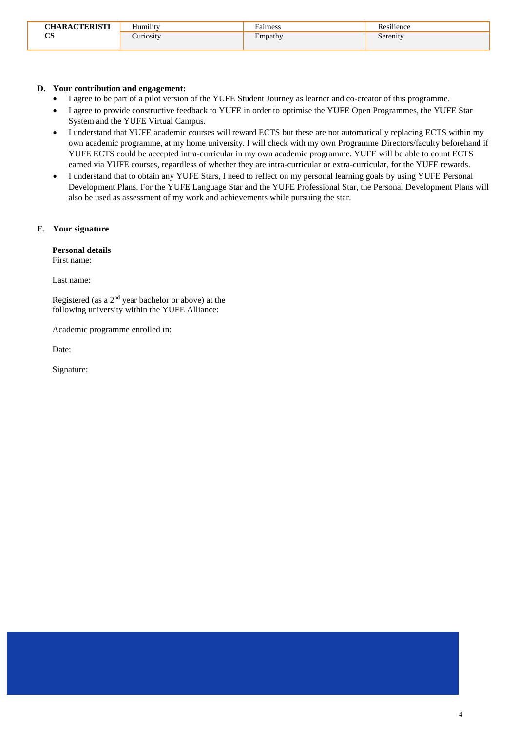| <b>CHARACTERISTI</b> | $\mathbf{v} = \mathbf{v}$<br>Humility | $\overline{\phantom{0}}$<br>Fairness | $\cdots$<br>$\sim$<br>silience:<br>R QC<br>r. |
|----------------------|---------------------------------------|--------------------------------------|-----------------------------------------------|
| $\alpha$<br>ັບ       | uriosity                              | $\blacksquare$<br>Empathy            | Serenity                                      |

#### <span id="page-3-0"></span>**D. Your contribution and engagement:**

- I agree to be part of a pilot version of the YUFE Student Journey as learner and co-creator of this programme.
- I agree to provide constructive feedback to YUFE in order to optimise the YUFE Open Programmes, the YUFE Star System and the YUFE Virtual Campus.
- I understand that YUFE academic courses will reward ECTS but these are not automatically replacing ECTS within my own academic programme, at my home university. I will check with my own Programme Directors/faculty beforehand if YUFE ECTS could be accepted intra-curricular in my own academic programme. YUFE will be able to count ECTS earned via YUFE courses, regardless of whether they are intra-curricular or extra-curricular, for the YUFE rewards.
- I understand that to obtain any YUFE Stars, I need to reflect on my personal learning goals by using YUFE Personal Development Plans. For the YUFE Language Star and the YUFE Professional Star, the Personal Development Plans will also be used as assessment of my work and achievements while pursuing the star.

#### <span id="page-3-1"></span>**E. Your signature**

#### **Personal details**

First name:

Last name:

Registered (as a  $2<sup>nd</sup>$  year bachelor or above) at the following university within the YUFE Alliance:

Academic programme enrolled in:

Date:

Signature: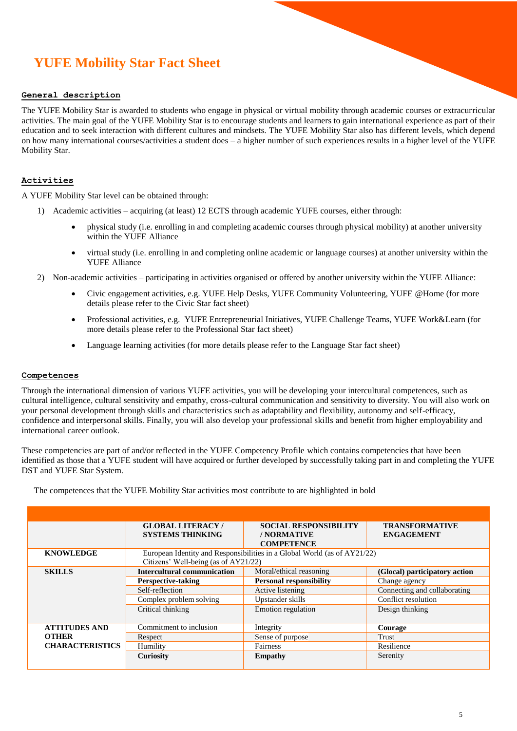# <span id="page-4-0"></span> $\mathbb{E} \left[ \mathbb{E} \left[ \mathbb{E} \left[ \mathbb{E} \left[ \mathbb{E} \left[ \mathbb{E} \left[ \mathbb{E} \left[ \mathbb{E} \left[ \mathbb{E} \left[ \mathbb{E} \left[ \mathbb{E} \left[ \mathbb{E} \left[ \mathbb{E} \left[ \mathbb{E} \left[ \mathbb{E} \left[ \mathbb{E} \left[ \mathbb{E} \left[ \mathbb{E} \left[ \mathbb{E} \left[ \mathbb{E} \left[ \mathbb{E} \left[ \mathbb{E} \left[ \mathbb{E} \left[ \mathbb{E} \left[ \mathbb{$ **YUFE Mobility Star Fact Sheet**

#### **General description**

The YUFE Mobility Star is awarded to students who engage in physical or virtual mobility through academic courses or extracurricular activities. The main goal of the YUFE Mobility Star is to encourage students and learners to gain international experience as part of their education and to seek interaction with different cultures and mindsets. The YUFE Mobility Star also has different levels, which depend on how many international courses/activities a student does – a higher number of such experiences results in a higher level of the YUFE Mobility Star.

Maastricht University  $\mathcal{L}_{\mathcal{A}}$  university in Torun  $\mathcal{L}_{\mathcal{A}}$  in Torun  $\mathcal{L}_{\mathcal{A}}$ 

#### **Activities**

A YUFE Mobility Star level can be obtained through:

- 1) Academic activities acquiring (at least) 12 ECTS through academic YUFE courses, either through:
	- physical study (i.e. enrolling in and completing academic courses through physical mobility) at another university within the YUFE Alliance
	- virtual study (i.e. enrolling in and completing online academic or language courses) at another university within the YUFE Alliance
- 2) Non-academic activities participating in activities organised or offered by another university within the YUFE Alliance:
	- Civic engagement activities, e.g. YUFE Help Desks, YUFE Community Volunteering, YUFE @Home (for more details please refer to the Civic Star fact sheet)
	- Professional activities, e.g. YUFE Entrepreneurial Initiatives, YUFE Challenge Teams, YUFE Work&Learn (for more details please refer to the Professional Star fact sheet)
	- Language learning activities (for more details please refer to the Language Star fact sheet)

#### **Competences**

Through the international dimension of various YUFE activities, you will be developing your intercultural competences, such as cultural intelligence, cultural sensitivity and empathy, cross-cultural communication and sensitivity to diversity. You will also work on your personal development through skills and characteristics such as adaptability and flexibility, autonomy and self-efficacy, confidence and interpersonal skills. Finally, you will also develop your professional skills and benefit from higher employability and international career outlook.

These competencies are part of and/or reflected in the YUFE Competency Profile which contains competencies that have been identified as those that a YUFE student will have acquired or further developed by successfully taking part in and completing the YUFE DST and YUFE Star System.

The competences that the YUFE Mobility Star activities most contribute to are highlighted in bold

|                        | <b>GLOBAL LITERACY/</b><br><b>SYSTEMS THINKING</b> | <b>SOCIAL RESPONSIBILITY</b><br>/ NORMATIVE<br><b>COMPETENCE</b>         | <b>TRANSFORMATIVE</b><br><b>ENGAGEMENT</b> |
|------------------------|----------------------------------------------------|--------------------------------------------------------------------------|--------------------------------------------|
| <b>KNOWLEDGE</b>       | Citizens' Well-being (as of AY21/22)               | European Identity and Responsibilities in a Global World (as of AY21/22) |                                            |
| <b>SKILLS</b>          | Intercultural communication                        | Moral/ethical reasoning                                                  | (Glocal) participatory action              |
|                        | <b>Perspective-taking</b>                          | <b>Personal responsibility</b>                                           | Change agency                              |
|                        | Self-reflection                                    | Active listening                                                         | Connecting and collaborating               |
|                        | Complex problem solving                            | Upstander skills                                                         | Conflict resolution                        |
|                        | Critical thinking                                  | Emotion regulation                                                       | Design thinking                            |
| <b>ATTITUDES AND</b>   | Commitment to inclusion                            | Integrity                                                                | Courage                                    |
| <b>OTHER</b>           | Respect                                            | Sense of purpose                                                         | Trust                                      |
| <b>CHARACTERISTICS</b> | Humility                                           | Fairness                                                                 | Resilience                                 |
|                        | Curiosity                                          | <b>Empathy</b>                                                           | Serenity                                   |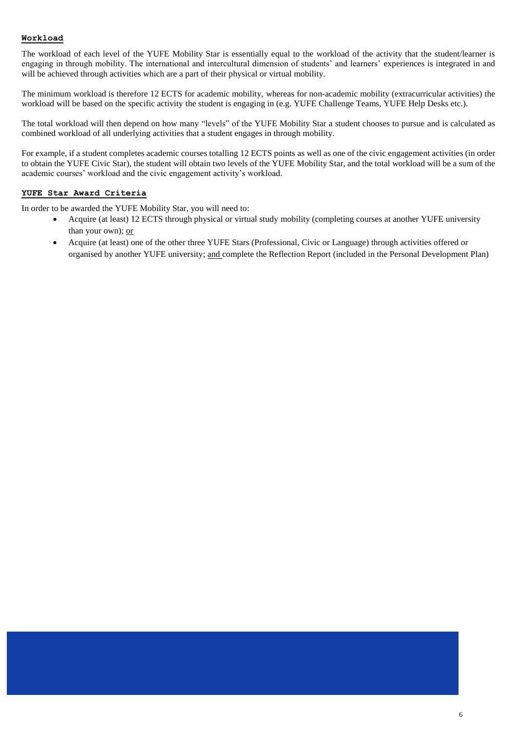#### **Workload**

The workload of each level of the YUFE Mobility Star is essentially equal to the workload of the activity that the student/learner is engaging in through mobility. The international and intercultural dimension of students' and learners' experiences is integrated in and will be achieved through activities which are a part of their physical or virtual mobility.

The minimum workload is therefore 12 ECTS for academic mobility, whereas for non-academic mobility (extracurricular activities) the workload will be based on the specific activity the student is engaging in (e.g. YUFE Challenge Teams, YUFE Help Desks etc.).

The total workload will then depend on how many "levels" of the YUFE Mobility Star a student chooses to pursue and is calculated as combined workload of all underlying activities that a student engages in through mobility.

For example, if a student completes academic courses totalling 12 ECTS points as well as one of the civic engagement activities (in order to obtain the YUFE Civic Star), the student will obtain two levels of the YUFE Mobility Star, and the total workload will be a sum of the academic courses' workload and the civic engagement activity's workload.

### **YUFE Star Award Criteria**

In order to be awarded the YUFE Mobility Star, you will need to:

- Acquire (at least) 12 ECTS through physical or virtual study mobility (completing courses at another YUFE university than your own); or
- Acquire (at least) one of the other three YUFE Stars (Professional, Civic or Language) through activities offered or organised by another YUFE university; and complete the Reflection Report (included in the Personal Development Plan)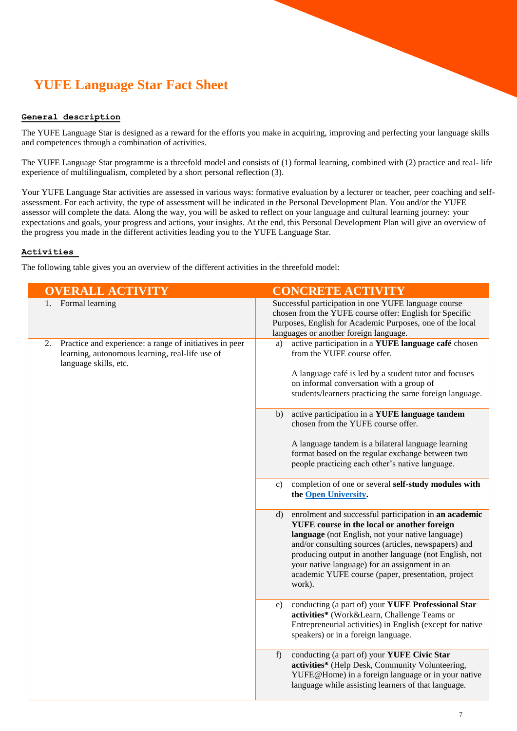# <span id="page-6-0"></span>**YUFE Language Star Fact Sheet**

### **General description**

The YUFE Language Star is designed as a reward for the efforts you make in acquiring, improving and perfecting your language skills and competences through a combination of activities.

The YUFE Language Star programme is a threefold model and consists of (1) formal learning, combined with (2) practice and real- life experience of multilingualism, completed by a short personal reflection (3).

Your YUFE Language Star activities are assessed in various ways: formative evaluation by a lecturer or teacher, peer coaching and selfassessment. For each activity, the type of assessment will be indicated in the Personal Development Plan. You and/or the YUFE assessor will complete the data. Along the way, you will be asked to reflect on your language and cultural learning journey: your expectations and goals, your progress and actions, your insights. At the end, this Personal Development Plan will give an overview of the progress you made in the different activities leading you to the YUFE Language Star.

#### **Activities**

The following table gives you an overview of the different activities in the threefold model:

| <b>OVERALL ACTIVITY</b>                                                                                                                   | <b>CONCRETE ACTIVITY</b>                                                                                                                                                                                                                                                                                                                                                                          |
|-------------------------------------------------------------------------------------------------------------------------------------------|---------------------------------------------------------------------------------------------------------------------------------------------------------------------------------------------------------------------------------------------------------------------------------------------------------------------------------------------------------------------------------------------------|
| 1. Formal learning                                                                                                                        | Successful participation in one YUFE language course<br>chosen from the YUFE course offer: English for Specific<br>Purposes, English for Academic Purposes, one of the local<br>languages or another foreign language.                                                                                                                                                                            |
| Practice and experience: a range of initiatives in peer<br>2.<br>learning, autonomous learning, real-life use of<br>language skills, etc. | active participation in a YUFE language café chosen<br>a)<br>from the YUFE course offer.<br>A language café is led by a student tutor and focuses<br>on informal conversation with a group of<br>students/learners practicing the same foreign language.                                                                                                                                          |
|                                                                                                                                           | active participation in a YUFE language tandem<br>b)<br>chosen from the YUFE course offer.<br>A language tandem is a bilateral language learning<br>format based on the regular exchange between two<br>people practicing each other's native language.                                                                                                                                           |
|                                                                                                                                           | completion of one or several self-study modules with<br>c)<br>the Open University.                                                                                                                                                                                                                                                                                                                |
|                                                                                                                                           | enrolment and successful participation in an academic<br>d)<br>YUFE course in the local or another foreign<br>language (not English, not your native language)<br>and/or consulting sources (articles, newspapers) and<br>producing output in another language (not English, not<br>your native language) for an assignment in an<br>academic YUFE course (paper, presentation, project<br>work). |
|                                                                                                                                           | conducting (a part of) your YUFE Professional Star<br>e)<br>activities* (Work&Learn, Challenge Teams or<br>Entrepreneurial activities) in English (except for native<br>speakers) or in a foreign language.                                                                                                                                                                                       |
|                                                                                                                                           | conducting (a part of) your YUFE Civic Star<br>$f$ )<br>activities* (Help Desk, Community Volunteering,<br>YUFE@Home) in a foreign language or in your native<br>language while assisting learners of that language.                                                                                                                                                                              |
|                                                                                                                                           |                                                                                                                                                                                                                                                                                                                                                                                                   |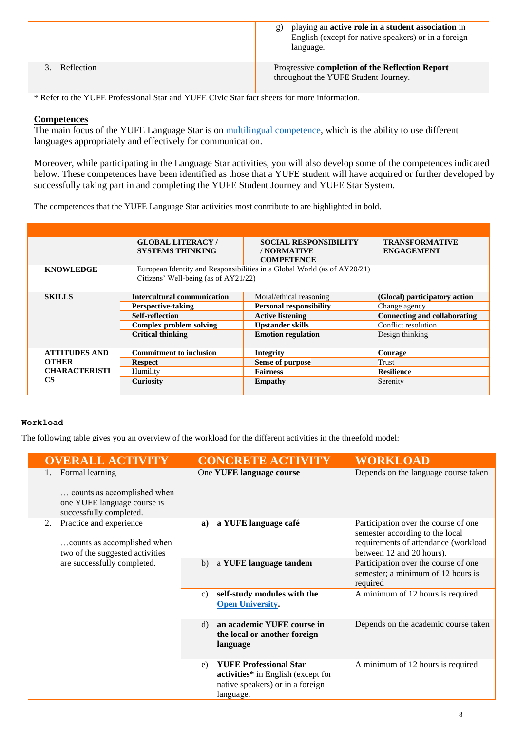|            | playing an active role in a student association in<br>$\mathfrak{g}$ )<br>English (except for native speakers) or in a foreign<br>language. |
|------------|---------------------------------------------------------------------------------------------------------------------------------------------|
| Reflection | Progressive completion of the Reflection Report<br>throughout the YUFE Student Journey.                                                     |

\* Refer to the YUFE Professional Star and YUFE Civic Star fact sheets for more information.

# **Competences**

The main focus of the YUFE Language Star is on [multilingual competence,](https://ec.europa.eu/education/education-in-the-eu/council-recommendation-on-key-competences-for-lifelong-learning_en) which is the ability to use different languages appropriately and effectively for communication.

Moreover, while participating in the Language Star activities, you will also develop some of the competences indicated below. These competences have been identified as those that a YUFE student will have acquired or further developed by successfully taking part in and completing the YUFE Student Journey and YUFE Star System.

The competences that the YUFE Language Star activities most contribute to are highlighted in bold.

|                      | <b>GLOBAL LITERACY/</b>              | <b>SOCIAL RESPONSIBILITY</b>                                             | <b>TRANSFORMATIVE</b>         |
|----------------------|--------------------------------------|--------------------------------------------------------------------------|-------------------------------|
|                      | <b>SYSTEMS THINKING</b>              | / NORMATIVE                                                              | <b>ENGAGEMENT</b>             |
|                      |                                      | <b>COMPETENCE</b>                                                        |                               |
| <b>KNOWLEDGE</b>     |                                      | European Identity and Responsibilities in a Global World (as of AY20/21) |                               |
|                      | Citizens' Well-being (as of AY21/22) |                                                                          |                               |
|                      |                                      |                                                                          |                               |
| <b>SKILLS</b>        | <b>Intercultural communication</b>   | Moral/ethical reasoning                                                  | (Glocal) participatory action |
|                      | <b>Perspective-taking</b>            | <b>Personal responsibility</b>                                           | Change agency                 |
|                      | <b>Self-reflection</b>               | <b>Active listening</b>                                                  | Connecting and collaborating  |
|                      | <b>Complex problem solving</b>       | <b>Upstander skills</b>                                                  | Conflict resolution           |
|                      | <b>Critical thinking</b>             | <b>Emotion regulation</b>                                                | Design thinking               |
|                      |                                      |                                                                          |                               |
| <b>ATTITUDES AND</b> | <b>Commitment to inclusion</b>       | <b>Integrity</b>                                                         | Courage                       |
| <b>OTHER</b>         | <b>Respect</b>                       | <b>Sense of purpose</b>                                                  | Trust                         |
| <b>CHARACTERISTI</b> | Humility                             | <b>Fairness</b>                                                          | <b>Resilience</b>             |
| <b>CS</b>            | Curiosity                            | <b>Empathy</b>                                                           | Serenity                      |
|                      |                                      |                                                                          |                               |

# **Workload**

The following table gives you an overview of the workload for the different activities in the threefold model:

| <b>OVERALL ACTIVITY</b>                                                                                  | <b>CONCRETE ACTIVITY</b>                                                                                                   | <b>WORKLOAD</b>                                                                                                                              |
|----------------------------------------------------------------------------------------------------------|----------------------------------------------------------------------------------------------------------------------------|----------------------------------------------------------------------------------------------------------------------------------------------|
| Formal learning<br>counts as accomplished when<br>one YUFE language course is<br>successfully completed. | One YUFE language course                                                                                                   | Depends on the language course taken                                                                                                         |
| Practice and experience<br>2.<br>counts as accomplished when<br>two of the suggested activities          | a YUFE language café<br>a)                                                                                                 | Participation over the course of one<br>semester according to the local<br>requirements of attendance (workload<br>between 12 and 20 hours). |
| are successfully completed.                                                                              | a YUFE language tandem<br>b)                                                                                               | Participation over the course of one<br>semester; a minimum of 12 hours is<br>required                                                       |
|                                                                                                          | self-study modules with the<br>$\mathbf{c}$ )<br><b>Open University.</b>                                                   | A minimum of 12 hours is required                                                                                                            |
|                                                                                                          | an academic YUFE course in<br>d)<br>the local or another foreign<br>language                                               | Depends on the academic course taken                                                                                                         |
|                                                                                                          | <b>YUFE Professional Star</b><br>e)<br>activities* in English (except for<br>native speakers) or in a foreign<br>language. | A minimum of 12 hours is required                                                                                                            |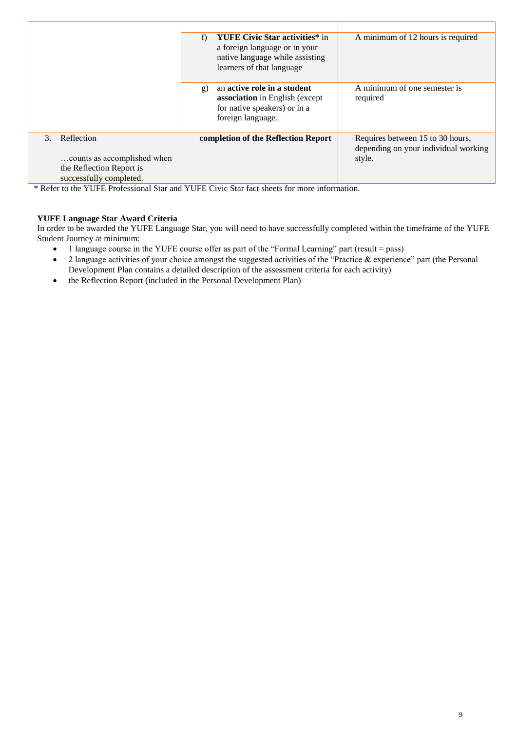|                                                            | <b>YUFE Civic Star activities*</b> in<br>f)<br>a foreign language or in your<br>native language while assisting<br>learners of that language | A minimum of 12 hours is required                                                  |
|------------------------------------------------------------|----------------------------------------------------------------------------------------------------------------------------------------------|------------------------------------------------------------------------------------|
|                                                            | an active role in a student<br>g)<br>association in English (except<br>for native speakers) or in a<br>foreign language.                     | A minimum of one semester is<br>required                                           |
| Reflection<br>$\mathcal{E}$<br>counts as accomplished when | completion of the Reflection Report                                                                                                          | Requires between 15 to 30 hours,<br>depending on your individual working<br>style. |
| the Reflection Report is<br>successfully completed.        |                                                                                                                                              |                                                                                    |

\* Refer to the YUFE Professional Star and YUFE Civic Star fact sheets for more information.

# **YUFE Language Star Award Criteria**

In order to be awarded the YUFE Language Star, you will need to have successfully completed within the timeframe of the YUFE Student Journey at minimum:

- 1 language course in the YUFE course offer as part of the "Formal Learning" part (result = pass)
- 2 language activities of your choice amongst the suggested activities of the "Practice & experience" part (the Personal Development Plan contains a detailed description of the assessment criteria for each activity)
- the Reflection Report (included in the Personal Development Plan)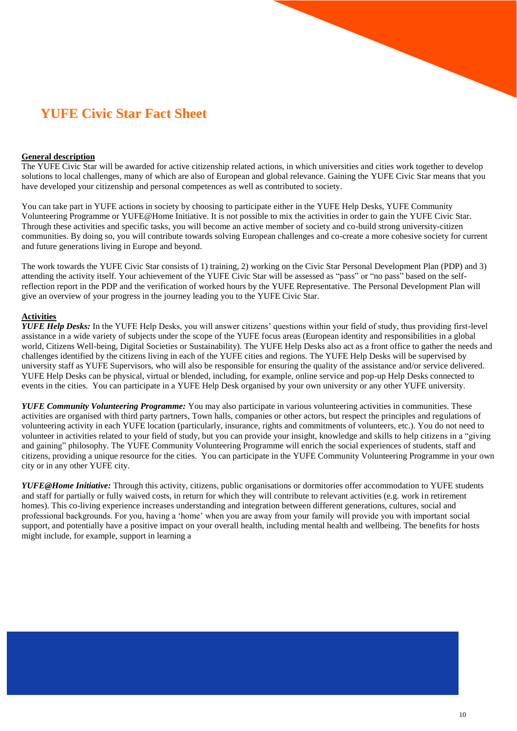# <span id="page-9-0"></span><sup>M</sup>**YUFE Civic Star Fact Sheet**

#### **General description**

The YUFE Civic Star will be awarded for active citizenship related actions, in which universities and cities work together to develop solutions to local challenges, many of which are also of European and global relevance. Gaining the YUFE Civic Star means that you have developed your citizenship and personal competences as well as contributed to society.

You can take part in YUFE actions in society by choosing to participate either in the YUFE Help Desks, YUFE Community Volunteering Programme or YUFE@Home Initiative. It is not possible to mix the activities in order to gain the YUFE Civic Star. Through these activities and specific tasks, you will become an active member of society and co-build strong university-citizen communities. By doing so, you will contribute towards solving European challenges and co-create a more cohesive society for current and future generations living in Europe and beyond.

The work towards the YUFE Civic Star consists of 1) training, 2) working on the Civic Star Personal Development Plan (PDP) and 3) attending the activity itself. Your achievement of the YUFE Civic Star will be assessed as "pass" or "no pass" based on the selfreflection report in the PDP and the verification of worked hours by the YUFE Representative. The Personal Development Plan will give an overview of your progress in the journey leading you to the YUFE Civic Star.

#### **Activities**

*YUFE Help Desks:* In the YUFE Help Desks, you will answer citizens' questions within your field of study, thus providing first-level assistance in a wide variety of subjects under the scope of the YUFE focus areas (European identity and responsibilities in a global world, Citizens Well-being, Digital Societies or Sustainability). The YUFE Help Desks also act as a front office to gather the needs and challenges identified by the citizens living in each of the YUFE cities and regions. The YUFE Help Desks will be supervised by university staff as YUFE Supervisors, who will also be responsible for ensuring the quality of the assistance and/or service delivered. YUFE Help Desks can be physical, virtual or blended, including, for example, online service and pop-up Help Desks connected to events in the cities. You can participate in a YUFE Help Desk organised by your own university or any other YUFE university.

*YUFE Community Volunteering Programme:* You may also participate in various volunteering activities in communities. These activities are organised with third party partners, Town halls, companies or other actors, but respect the principles and regulations of volunteering activity in each YUFE location (particularly, insurance, rights and commitments of volunteers, etc.). You do not need to volunteer in activities related to your field of study, but you can provide your insight, knowledge and skills to help citizens in a "giving and gaining" philosophy. The YUFE Community Volunteering Programme will enrich the social experiences of students, staff and citizens, providing a unique resource for the cities. You can participate in the YUFE Community Volunteering Programme in your own city or in any other YUFE city.

*YUFE@Home Initiative:* Through this activity, citizens, public organisations or dormitories offer accommodation to YUFE students and staff for partially or fully waived costs, in return for which they will contribute to relevant activities (e.g. work in retirement homes). This co-living experience increases understanding and integration between different generations, cultures, social and professional backgrounds. For you, having a 'home' when you are away from your family will provide you with important social support, and potentially have a positive impact on your overall health, including mental health and wellbeing. The benefits for hosts might include, for example, support in learning a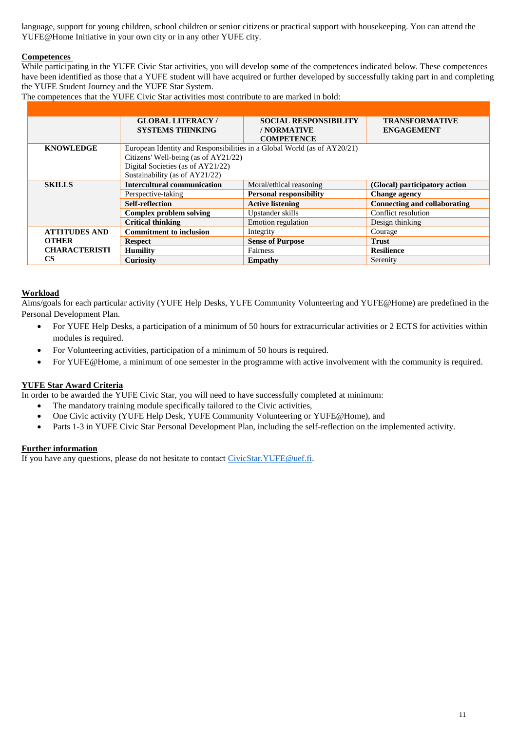language, support for young children, school children or senior citizens or practical support with housekeeping. You can attend the YUFE@Home Initiative in your own city or in any other YUFE city.

# **Competences**

While participating in the YUFE Civic Star activities, you will develop some of the competences indicated below. These competences have been identified as those that a YUFE student will have acquired or further developed by successfully taking part in and completing the YUFE Student Journey and the YUFE Star System.

The competences that the YUFE Civic Star activities most contribute to are marked in bold:

|                      | <b>GLOBAL LITERACY/</b>                                                  | <b>SOCIAL RESPONSIBILITY</b>   | <b>TRANSFORMATIVE</b>         |
|----------------------|--------------------------------------------------------------------------|--------------------------------|-------------------------------|
|                      | <b>SYSTEMS THINKING</b>                                                  | / NORMATIVE                    | <b>ENGAGEMENT</b>             |
|                      |                                                                          | <b>COMPETENCE</b>              |                               |
| <b>KNOWLEDGE</b>     | European Identity and Responsibilities in a Global World (as of AY20/21) |                                |                               |
|                      | Citizens' Well-being (as of AY21/22)                                     |                                |                               |
|                      | Digital Societies (as of AY21/22)                                        |                                |                               |
|                      | Sustainability (as of AY21/22)                                           |                                |                               |
| <b>SKILLS</b>        | <b>Intercultural communication</b>                                       | Moral/ethical reasoning        | (Glocal) participatory action |
|                      | Perspective-taking                                                       | <b>Personal responsibility</b> | <b>Change agency</b>          |
|                      | <b>Self-reflection</b>                                                   | <b>Active listening</b>        | Connecting and collaborating  |
|                      | <b>Complex problem solving</b>                                           | Upstander skills               | Conflict resolution           |
|                      | <b>Critical thinking</b>                                                 | Emotion regulation             | Design thinking               |
| <b>ATTITUDES AND</b> | <b>Commitment to inclusion</b>                                           | Integrity                      | Courage                       |
| <b>OTHER</b>         | <b>Respect</b>                                                           | <b>Sense of Purpose</b>        | <b>Trust</b>                  |
| <b>CHARACTERISTI</b> | <b>Humility</b>                                                          | Fairness                       | <b>Resilience</b>             |
| CS                   | <b>Curiosity</b>                                                         | Empathy                        | Serenity                      |

#### **Workload**

Aims/goals for each particular activity (YUFE Help Desks, YUFE Community Volunteering and YUFE@Home) are predefined in the Personal Development Plan.

- For YUFE Help Desks, a participation of a minimum of 50 hours for extracurricular activities or 2 ECTS for activities within modules is required.
- For Volunteering activities, participation of a minimum of 50 hours is required.
- For YUFE@Home, a minimum of one semester in the programme with active involvement with the community is required.

# **YUFE Star Award Criteria**

In order to be awarded the YUFE Civic Star, you will need to have successfully completed at minimum:

- The mandatory training module specifically tailored to the Civic activities,
- One Civic activity (YUFE Help Desk, YUFE Community Volunteering or YUFE@Home), and
- Parts 1-3 in YUFE Civic Star Personal Development Plan, including the self-reflection on the implemented activity.

#### **Further information**

If you have any questions, please do not hesitate to contact [CivicStar.YUFE@uef.fi.](mailto:CivicStar.YUFE@uef.fi)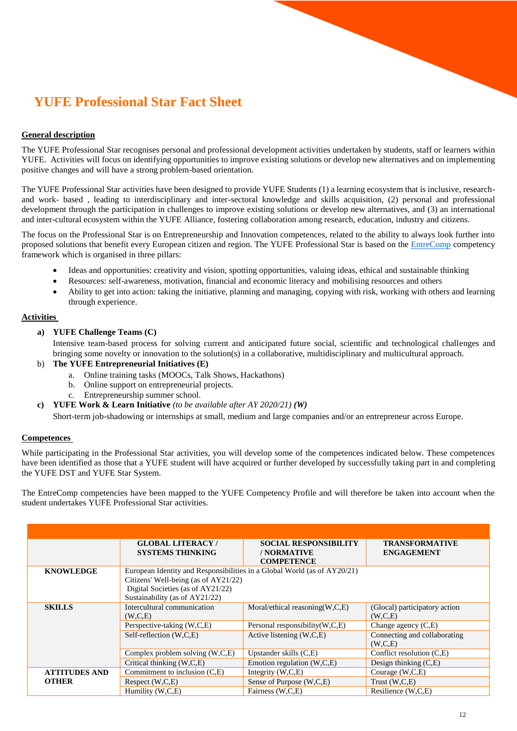# <span id="page-11-0"></span>**YUFE Professional Star Fact Sheet**

# **General description**

The YUFE Professional Star recognises personal and professional development activities undertaken by students, staff or learners within YUFE. Activities will focus on identifying opportunities to improve existing solutions or develop new alternatives and on implementing positive changes and will have a strong problem-based orientation.

The YUFE Professional Star activities have been designed to provide YUFE Students (1) a learning ecosystem that is inclusive, researchand work- based , leading to interdisciplinary and inter-sectoral knowledge and skills acquisition, (2) personal and professional development through the participation in challenges to improve existing solutions or develop new alternatives, and (3) an international and inter-cultural ecosystem within the YUFE Alliance, fostering collaboration among research, education, industry and citizens.

The focus on the Professional Star is on Entrepreneurship and Innovation competences, related to the ability to always look further into proposed solutions that benefit every European citizen and region. The YUFE Professional Star is based on the **EntreComp** competency framework which is organised in three pillars:

- Ideas and opportunities: creativity and vision, spotting opportunities, valuing ideas, ethical and sustainable thinking
- Resources: self-awareness, motivation, financial and economic literacy and mobilising resources and others
- Ability to get into action: taking the initiative, planning and managing, copying with risk, working with others and learning through experience.

#### **Activities**

**a) YUFE Challenge Teams (C)**

Intensive team-based process for solving current and anticipated future social, scientific and technological challenges and bringing some novelty or innovation to the solution(s) in a collaborative, multidisciplinary and multicultural approach.

- b) **The YUFE Entrepreneurial Initiatives (E)**
	- a. Online training tasks (MOOCs, Talk Shows, Hackathons)
	- b. Online support on entrepreneurial projects.
	- c. Entrepreneurship summer school.
- **c) YUFE Work & Learn Initiative** *(to be available after AY 2020/21) (W)*

Short-term job-shadowing or internships at small, medium and large companies and/or an entrepreneur across Europe.

# **Competences**

While participating in the Professional Star activities, you will develop some of the competences indicated below. These competences have been identified as those that a YUFE student will have acquired or further developed by successfully taking part in and completing the YUFE DST and YUFE Star System.

The EntreComp competencies have been mapped to the YUFE Competency Profile and will therefore be taken into account when the student undertakes YUFE Professional Star activities.

|                                      | <b>GLOBAL LITERACY/</b><br><b>SYSTEMS THINKING</b>                                                                                                                                      | <b>SOCIAL RESPONSIBILITY</b><br>/ NORMATIVE<br><b>COMPETENCE</b>                                       | <b>TRANSFORMATIVE</b><br><b>ENGAGEMENT</b>                                                          |
|--------------------------------------|-----------------------------------------------------------------------------------------------------------------------------------------------------------------------------------------|--------------------------------------------------------------------------------------------------------|-----------------------------------------------------------------------------------------------------|
| <b>KNOWLEDGE</b>                     | European Identity and Responsibilities in a Global World (as of AY20/21)<br>Citizens' Well-being (as of AY21/22)<br>Digital Societies (as of AY21/22)<br>Sustainability (as of AY21/22) |                                                                                                        |                                                                                                     |
| <b>SKILLS</b>                        | Intercultural communication<br>(W.C.E)<br>Perspective-taking (W,C,E)<br>Self-reflection (W,C,E)                                                                                         | Moral/ethical reasoning $(W, C, E)$<br>Personal responsibility $(W, C, E)$<br>Active listening (W,C,E) | (Glocal) participatory action<br>(W, C, E)<br>Change agency $(C,E)$<br>Connecting and collaborating |
|                                      | Complex problem solving (W,C,E)<br>Critical thinking (W,C,E)                                                                                                                            | Upstander skills $(C,E)$<br>Emotion regulation (W,C,E)                                                 | (W, C, E)<br>Conflict resolution (C.E)<br>Design thinking $(C,E)$                                   |
| <b>ATTITUDES AND</b><br><b>OTHER</b> | Commitment to inclusion (C,E)<br>Respect $(W, C, E)$                                                                                                                                    | Integrity $(W, C, E)$<br>Sense of Purpose (W,C,E)                                                      | Courage $(W, C, E)$<br>Trust $(W, C, E)$                                                            |
|                                      | Humility (W,C,E)                                                                                                                                                                        | Fairness (W,C,E)                                                                                       | Resilience (W,C,E)                                                                                  |